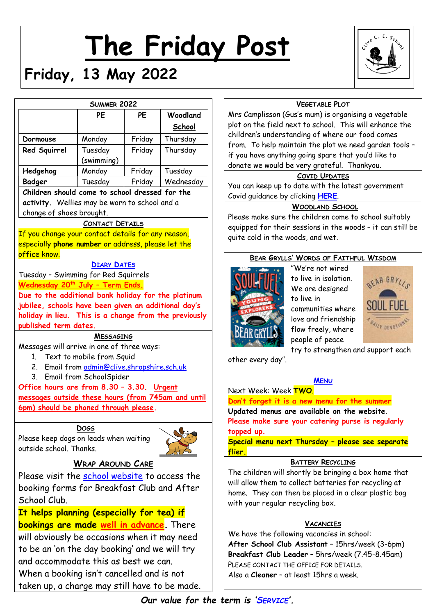# **The Friday Post**





|                                                                                                                                                                                      | <b>SUMMER 2022</b>                                                       |        |           |  |  |
|--------------------------------------------------------------------------------------------------------------------------------------------------------------------------------------|--------------------------------------------------------------------------|--------|-----------|--|--|
|                                                                                                                                                                                      | <u>PE</u>                                                                | PE     | Woodland  |  |  |
|                                                                                                                                                                                      |                                                                          |        | School    |  |  |
| Dormouse                                                                                                                                                                             | Monday                                                                   | Friday | Thursday  |  |  |
| Red Squirrel                                                                                                                                                                         | Tuesday                                                                  | Friday | Thursday  |  |  |
|                                                                                                                                                                                      | (swimming)                                                               |        |           |  |  |
| Hedgehog                                                                                                                                                                             | Monday                                                                   | Friday | Tuesday   |  |  |
| <b>Badger</b>                                                                                                                                                                        | Tuesday                                                                  | Friday | Wednesday |  |  |
| Children should come to school dressed for the<br>activity. Wellies may be worn to school and a<br>change of shoes brought.                                                          |                                                                          |        |           |  |  |
|                                                                                                                                                                                      | CONTACT DETAILS                                                          |        |           |  |  |
| <u>If you change your contact details for any reason,</u>                                                                                                                            |                                                                          |        |           |  |  |
| especially <b>phone number</b> or address, please let the                                                                                                                            |                                                                          |        |           |  |  |
| <mark>office know.</mark>                                                                                                                                                            |                                                                          |        |           |  |  |
|                                                                                                                                                                                      | <b>DIARY DATES</b>                                                       |        |           |  |  |
| Tuesday - Swimming for Red Squirrels<br><u> Wednesday 20<sup>th</sup> July - Term Ends.</u>                                                                                          |                                                                          |        |           |  |  |
| jubilee, schools have been given an additional day's<br>holiday in lieu. This is a change from the previously<br>published term dates.<br>Messages will arrive in one of three ways: | <b>MESSAGING</b>                                                         |        |           |  |  |
| 2 <sub>1</sub>                                                                                                                                                                       | 1. Text to mobile from Squid<br>Email from admin@clive.shropshire.sch.uk |        |           |  |  |
| Office hours are from 8.30 - 3.30. Urgent<br><u>messages outside these hours (from 745am and until</u><br><u>(6pm) should be phoned through please</u>                               | 3. Email from SchoolSpider                                               |        |           |  |  |
| <b>DOGS</b><br>Please keep dogs on leads when waiting<br>outside school. Thanks.                                                                                                     |                                                                          |        |           |  |  |
|                                                                                                                                                                                      | <b>WRAP AROUND CARE</b>                                                  |        |           |  |  |
| Please visit the <u>school website</u> to access the                                                                                                                                 |                                                                          |        |           |  |  |
| booking forms for Breakfast Club and After                                                                                                                                           |                                                                          |        |           |  |  |
| School Club.                                                                                                                                                                         |                                                                          |        |           |  |  |
| <u>It helps planning (especially for tea) if</u>                                                                                                                                     |                                                                          |        |           |  |  |
|                                                                                                                                                                                      |                                                                          |        |           |  |  |
| <mark>bookings are made <u>well in advance</u>. T</mark> here<br>بالمطار بالمرزح تربطها التبيد                                                                                       |                                                                          |        |           |  |  |

**It helps planning (especially for tea) if bookings are made well in advance.** There will obviously be occasions when it may need to be an 'on the day booking' and we will try and accommodate this as best we can. When a booking isn't cancelled and is not taken up, a charge may still have to be made.

# **VEGETABLE PLOT**

Mrs Camplisson (Gus's mum) is organising a vegetable plot on the field next to school. This will enhance the children's understanding of where our food comes from. To help maintain the plot we need garden tools – if you have anything going spare that you'd like to donate we would be very grateful. Thankyou.

## **COVID UPDATES**

You can keep up to date with the latest government Covid guidance by clicking **[HERE](https://www.gov.uk/government/publications/what-parents-and-carers-need-to-know-about-early-years-providers-schools-and-colleges-during-the-coronavirus-covid-19-outbreak/step-4-update-what-parents-and-carers-need-to-know-about-early-years-providers-schools-and-colleges)**.

# **WOODLAND SCHOOL**

Please make sure the children come to school suitably equipped for their sessions in the woods – it can still be quite cold in the woods, and wet.

## **BEAR GRYLLS' WORDS OF FAITHFUL WISDOM**



"We're not wired to live in isolation. We are designed to live in communities where love and friendship flow freely, where people of peace



try to strengthen and support each

other every day".

#### **M[ENU](http://www.clivecofeprimaryschool.co.uk/page/school-meals/26275)**

#### Next Week: Week **TWO**.

**Don't forget it is a new menu for the summer Updated menus are available on the website**.

**Please make sure your catering purse is regularly topped up.**

**Special menu next Thursday – please see separate flier.**

#### **BATTERY RECYCLING**

The children will shortly be bringing a box home that will allow them to collect batteries for recycling at home. They can then be placed in a clear plastic bag with your regular recycling box.

# **VACANCIES**

We have the following vacancies in school: **After School Club Assistant** – 15hrs/week (3-6pm) **Breakfast Club Leader** – 5hrs/week (7.45-8.45am) PLEASE CONTACT THE OFFICE FOR DETAILS. Also a **Cleaner** – at least 15hrs a week.